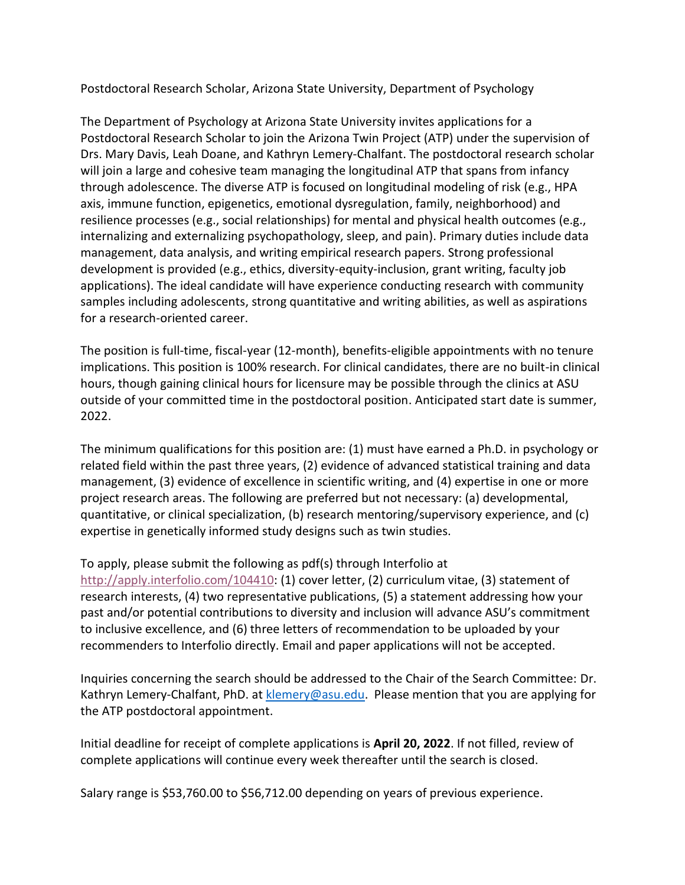Postdoctoral Research Scholar, Arizona State University, Department of Psychology

The Department of Psychology at Arizona State University invites applications for a Postdoctoral Research Scholar to join the Arizona Twin Project (ATP) under the supervision of Drs. Mary Davis, Leah Doane, and Kathryn Lemery-Chalfant. The postdoctoral research scholar will join a large and cohesive team managing the longitudinal ATP that spans from infancy through adolescence. The diverse ATP is focused on longitudinal modeling of risk (e.g., HPA axis, immune function, epigenetics, emotional dysregulation, family, neighborhood) and resilience processes (e.g., social relationships) for mental and physical health outcomes (e.g., internalizing and externalizing psychopathology, sleep, and pain). Primary duties include data management, data analysis, and writing empirical research papers. Strong professional development is provided (e.g., ethics, diversity-equity-inclusion, grant writing, faculty job applications). The ideal candidate will have experience conducting research with community samples including adolescents, strong quantitative and writing abilities, as well as aspirations for a research-oriented career.

The position is full-time, fiscal-year (12-month), benefits-eligible appointments with no tenure implications. This position is 100% research. For clinical candidates, there are no built-in clinical hours, though gaining clinical hours for licensure may be possible through the clinics at ASU outside of your committed time in the postdoctoral position. Anticipated start date is summer, 2022.

The minimum qualifications for this position are: (1) must have earned a Ph.D. in psychology or related field within the past three years, (2) evidence of advanced statistical training and data management, (3) evidence of excellence in scientific writing, and (4) expertise in one or more project research areas. The following are preferred but not necessary: (a) developmental, quantitative, or clinical specialization, (b) research mentoring/supervisory experience, and (c) expertise in genetically informed study designs such as twin studies.

To apply, please submit the following as pdf(s) through Interfolio at

[http://apply.interfolio.com/104410:](http://apply.interfolio.com/104410) (1) cover letter, (2) curriculum vitae, (3) statement of research interests, (4) two representative publications, (5) a statement addressing how your past and/or potential contributions to diversity and inclusion will advance ASU's commitment to inclusive excellence, and (6) three letters of recommendation to be uploaded by your recommenders to Interfolio directly. Email and paper applications will not be accepted.

Inquiries concerning the search should be addressed to the Chair of the Search Committee: Dr. Kathryn Lemery-Chalfant, PhD. a[t klemery@asu.edu.](mailto:klemery@asu.edu) Please mention that you are applying for the ATP postdoctoral appointment.

Initial deadline for receipt of complete applications is **April 20, 2022**. If not filled, review of complete applications will continue every week thereafter until the search is closed.

Salary range is \$53,760.00 to \$56,712.00 depending on years of previous experience.